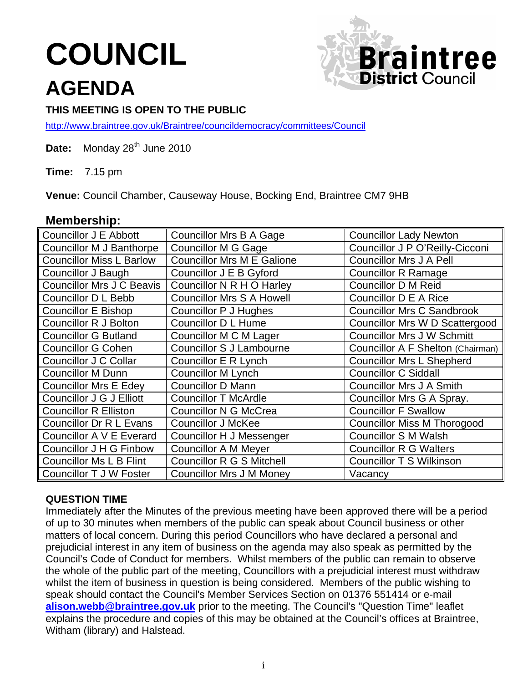# **COUNCIL AGENDA**



## **THIS MEETING IS OPEN TO THE PUBLIC**

<http://www.braintree.gov.uk/Braintree/councildemocracy/committees/Council>

Date: Monday 28<sup>th</sup> June 2010

**Time:** 7.15 pm

**Venue:** Council Chamber, Causeway House, Bocking End, Braintree CM7 9HB

## **Membership:**

| Councillor J E Abbott            | <b>Councillor Mrs B A Gage</b>    | <b>Councillor Lady Newton</b>         |
|----------------------------------|-----------------------------------|---------------------------------------|
| <b>Councillor M J Banthorpe</b>  | <b>Councillor M G Gage</b>        | Councillor J P O'Reilly-Cicconi       |
| <b>Councillor Miss L Barlow</b>  | <b>Councillor Mrs M E Galione</b> | <b>Councillor Mrs J A Pell</b>        |
| <b>Councillor J Baugh</b>        | Councillor J E B Gyford           | <b>Councillor R Ramage</b>            |
| <b>Councillor Mrs J C Beavis</b> | Councillor N R H O Harley         | <b>Councillor D M Reid</b>            |
| <b>Councillor D L Bebb</b>       | <b>Councillor Mrs S A Howell</b>  | Councillor D E A Rice                 |
| <b>Councillor E Bishop</b>       | Councillor P J Hughes             | <b>Councillor Mrs C Sandbrook</b>     |
| <b>Councillor R J Bolton</b>     | <b>Councillor D L Hume</b>        | <b>Councillor Mrs W D Scattergood</b> |
| <b>Councillor G Butland</b>      | Councillor M C M Lager            | <b>Councillor Mrs J W Schmitt</b>     |
| <b>Councillor G Cohen</b>        | <b>Councillor S J Lambourne</b>   | Councillor A F Shelton (Chairman)     |
| Councillor J C Collar            | Councillor E R Lynch              | <b>Councillor Mrs L Shepherd</b>      |
| <b>Councillor M Dunn</b>         | Councillor M Lynch                | <b>Councillor C Siddall</b>           |
| <b>Councillor Mrs E Edey</b>     | <b>Councillor D Mann</b>          | <b>Councillor Mrs J A Smith</b>       |
| Councillor J G J Elliott         | <b>Councillor T McArdle</b>       | Councillor Mrs G A Spray.             |
| <b>Councillor R Elliston</b>     | <b>Councillor N G McCrea</b>      | <b>Councillor F Swallow</b>           |
| <b>Councillor Dr R L Evans</b>   | <b>Councillor J McKee</b>         | <b>Councillor Miss M Thorogood</b>    |
| Councillor A V E Everard         | Councillor H J Messenger          | <b>Councillor S M Walsh</b>           |
| <b>Councillor J H G Finbow</b>   | <b>Councillor A M Meyer</b>       | <b>Councillor R G Walters</b>         |
| <b>Councillor Ms L B Flint</b>   | <b>Councillor R G S Mitchell</b>  | <b>Councillor T S Wilkinson</b>       |
| Councillor T J W Foster          | <b>Councillor Mrs J M Money</b>   | Vacancy                               |

## **QUESTION TIME**

Immediately after the Minutes of the previous meeting have been approved there will be a period of up to 30 minutes when members of the public can speak about Council business or other matters of local concern. During this period Councillors who have declared a personal and prejudicial interest in any item of business on the agenda may also speak as permitted by the Council's Code of Conduct for members. Whilst members of the public can remain to observe the whole of the public part of the meeting, Councillors with a prejudicial interest must withdraw whilst the item of business in question is being considered. Members of the public wishing to speak should contact the Council's Member Services Section on 01376 551414 or e-mail **[alison.webb@braintree.gov.uk](mailto:alison.webb@braintree.gov.uk)** prior to the meeting. The Council's "Question Time" leaflet explains the procedure and copies of this may be obtained at the Council's offices at Braintree, Witham (library) and Halstead.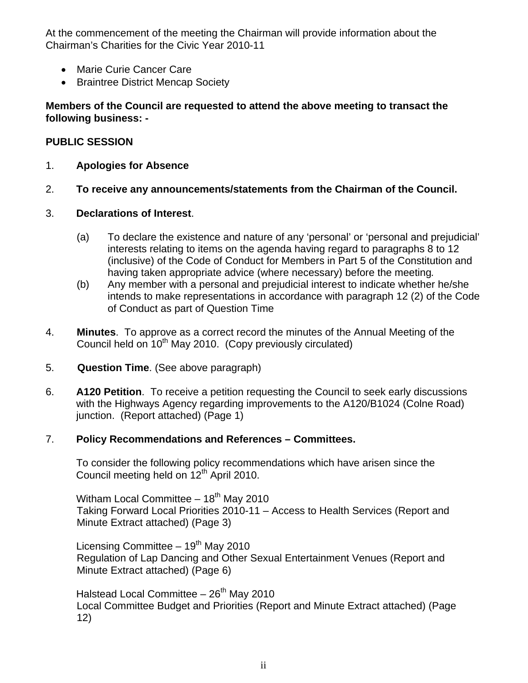At the commencement of the meeting the Chairman will provide information about the Chairman's Charities for the Civic Year 2010-11

- Marie Curie Cancer Care
- Braintree District Mencap Society

## **Members of the Council are requested to attend the above meeting to transact the following business: -**

## **PUBLIC SESSION**

- 1. **Apologies for Absence**
- 2. **To receive any announcements/statements from the Chairman of the Council.**
- 3. **Declarations of Interest**.
	- (a) To declare the existence and nature of any 'personal' or 'personal and prejudicial' interests relating to items on the agenda having regard to paragraphs 8 to 12 (inclusive) of the Code of Conduct for Members in Part 5 of the Constitution and having taken appropriate advice (where necessary) before the meeting*.*
	- (b) Any member with a personal and prejudicial interest to indicate whether he/she intends to make representations in accordance with paragraph 12 (2) of the Code of Conduct as part of Question Time
- 4. **Minutes**. To approve as a correct record the minutes of the Annual Meeting of the Council held on  $10^{th}$  May 2010. (Copy previously circulated)
- 5. **Question Time**. (See above paragraph)
- 6. **A120 Petition**. To receive a petition requesting the Council to seek early discussions with the Highways Agency regarding improvements to the A120/B1024 (Colne Road) junction. (Report attached) (Page 1)

## 7. **Policy Recommendations and References – Committees.**

 To consider the following policy recommendations which have arisen since the Council meeting held on  $12<sup>th</sup>$  April 2010.

Witham Local Committee  $-18<sup>th</sup>$  May 2010 Taking Forward Local Priorities 2010-11 – Access to Health Services (Report and Minute Extract attached) (Page 3)

Licensing Committee  $-19<sup>th</sup>$  May 2010 Regulation of Lap Dancing and Other Sexual Entertainment Venues (Report and Minute Extract attached) (Page 6)

Halstead Local Committee  $-26<sup>th</sup>$  May 2010 Local Committee Budget and Priorities (Report and Minute Extract attached) (Page 12)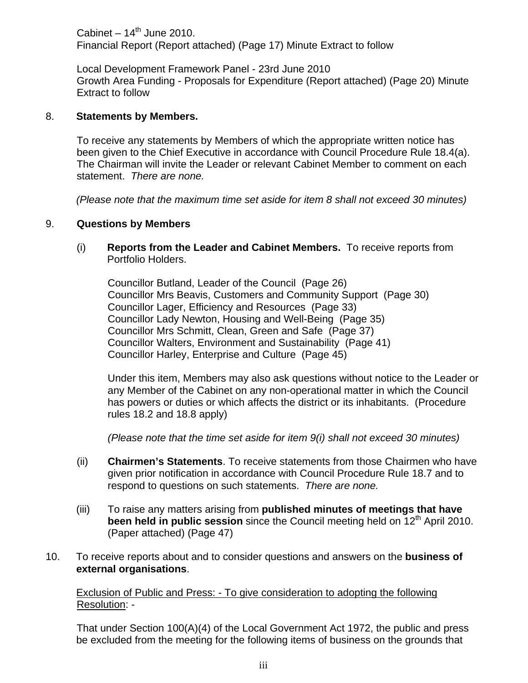Cabinet –  $14<sup>th</sup>$  June 2010. Financial Report (Report attached) (Page 17) Minute Extract to follow

 Local Development Framework Panel - 23rd June 2010 Growth Area Funding - Proposals for Expenditure (Report attached) (Page 20) Minute Extract to follow

#### 8. **Statements by Members.**

To receive any statements by Members of which the appropriate written notice has been given to the Chief Executive in accordance with Council Procedure Rule 18.4(a). The Chairman will invite the Leader or relevant Cabinet Member to comment on each statement. *There are none.* 

*(Please note that the maximum time set aside for item 8 shall not exceed 30 minutes)* 

#### 9. **Questions by Members**

(i) **Reports from the Leader and Cabinet Members.** To receive reports from Portfolio Holders.

Councillor Butland, Leader of the Council (Page 26) Councillor Mrs Beavis, Customers and Community Support (Page 30) Councillor Lager, Efficiency and Resources (Page 33) Councillor Lady Newton, Housing and Well-Being (Page 35) Councillor Mrs Schmitt, Clean, Green and Safe (Page 37) Councillor Walters, Environment and Sustainability (Page 41) Councillor Harley, Enterprise and Culture (Page 45)

Under this item, Members may also ask questions without notice to the Leader or any Member of the Cabinet on any non-operational matter in which the Council has powers or duties or which affects the district or its inhabitants. (Procedure rules 18.2 and 18.8 apply)

*(Please note that the time set aside for item 9(i) shall not exceed 30 minutes)* 

- (ii) **Chairmen's Statements**. To receive statements from those Chairmen who have given prior notification in accordance with Council Procedure Rule 18.7 and to respond to questions on such statements. *There are none.*
- (iii) To raise any matters arising from **published minutes of meetings that have been held in public session** since the Council meeting held on 12<sup>th</sup> April 2010. (Paper attached) (Page 47)
- 10. To receive reports about and to consider questions and answers on the **business of external organisations**.

#### Exclusion of Public and Press: - To give consideration to adopting the following Resolution: -

 That under Section 100(A)(4) of the Local Government Act 1972, the public and press be excluded from the meeting for the following items of business on the grounds that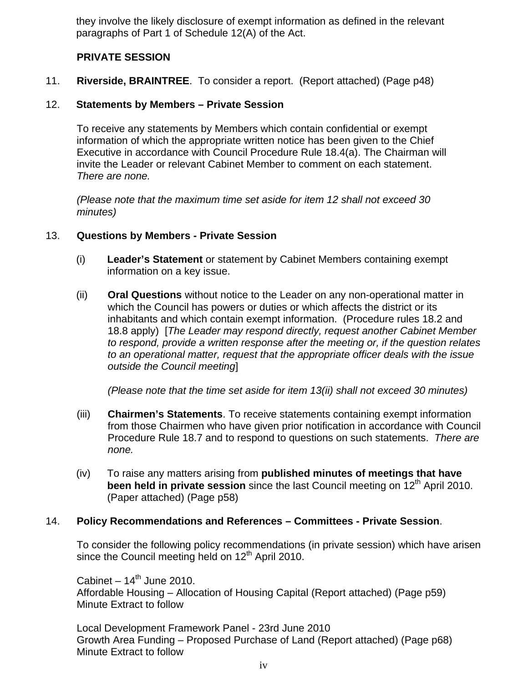they involve the likely disclosure of exempt information as defined in the relevant paragraphs of Part 1 of Schedule 12(A) of the Act.

#### **PRIVATE SESSION**

11. **Riverside, BRAINTREE**. To consider a report. (Report attached) (Page p48)

#### 12. **Statements by Members – Private Session**

To receive any statements by Members which contain confidential or exempt information of which the appropriate written notice has been given to the Chief Executive in accordance with Council Procedure Rule 18.4(a). The Chairman will invite the Leader or relevant Cabinet Member to comment on each statement. *There are none.* 

*(Please note that the maximum time set aside for item 12 shall not exceed 30 minutes)* 

#### 13. **Questions by Members - Private Session**

- (i) **Leader's Statement** or statement by Cabinet Members containing exempt information on a key issue.
- (ii) **Oral Questions** without notice to the Leader on any non-operational matter in which the Council has powers or duties or which affects the district or its inhabitants and which contain exempt information. (Procedure rules 18.2 and 18.8 apply) [*The Leader may respond directly, request another Cabinet Member to respond, provide a written response after the meeting or, if the question relates to an operational matter, request that the appropriate officer deals with the issue outside the Council meeting*]

 *(Please note that the time set aside for item 13(ii) shall not exceed 30 minutes)* 

- (iii) **Chairmen's Statements**. To receive statements containing exempt information from those Chairmen who have given prior notification in accordance with Council Procedure Rule 18.7 and to respond to questions on such statements. *There are none.*
- (iv) To raise any matters arising from **published minutes of meetings that have been held in private session** since the last Council meeting on 12<sup>th</sup> April 2010. (Paper attached) (Page p58)

#### 14. **Policy Recommendations and References – Committees - Private Session**.

To consider the following policy recommendations (in private session) which have arisen since the Council meeting held on 12<sup>th</sup> April 2010.

Cabinet –  $14<sup>th</sup>$  June 2010. Affordable Housing – Allocation of Housing Capital (Report attached) (Page p59) Minute Extract to follow

 Local Development Framework Panel - 23rd June 2010 Growth Area Funding – Proposed Purchase of Land (Report attached) (Page p68) Minute Extract to follow